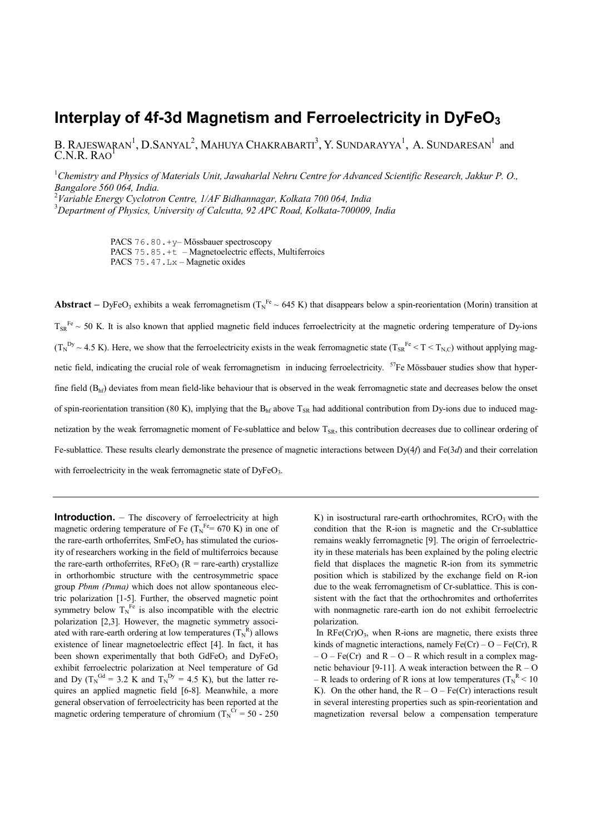## **Interplay of 4f-3d Magnetism and Ferroelectricity in DyFeO3**

B. RAJESWARAN<sup>1</sup>, D.SANYAL<sup>2</sup>, MAHUYA CHAKRABARTI<sup>3</sup>, Y. SUNDARAYYA<sup>1</sup>, A. SUNDARESAN<sup>1</sup> and<br>C.N.R. RAO<sup>1</sup>

1 *Chemistry and Physics of Materials Unit, Jawaharlal Nehru Centre for Advanced Scientific Research, Jakkur P. O., Bangalore 560 064, India.*

2 *Variable Energy Cyclotron Centre, 1/AF Bidhannagar, Kolkata 700 064, India* 3 *Department of Physics, University of Calcutta, 92 APC Road, Kolkata-700009, India*

> PACS 76.80.+y– Mössbauer spectroscopy PACS 75.85.+t – Magnetoelectric effects, Multiferroics PACS 75.47.Lx – Magnetic oxides

**Abstract** – DyFeO<sub>3</sub> exhibits a weak ferromagnetism  $(T_N^{Fe} \sim 645 \text{ K})$  that disappears below a spin-reorientation (Morin) transition at  $T_{SR}^{Fe} \sim 50$  K. It is also known that applied magnetic field induces ferroelectricity at the magnetic ordering temperature of Dy-ions  $(T_N^{Dy} \sim 4.5 \text{ K})$ . Here, we show that the ferroelectricity exists in the weak ferromagnetic state  $(T_{SR}^{Fe} \le T \le T_{N,C})$  without applying magnetic field, indicating the crucial role of weak ferromagnetism in inducing ferroelectricity.  ${}^{57}Fe$  Mössbauer studies show that hyperfine field  $(B<sub>hf</sub>)$  deviates from mean field-like behaviour that is observed in the weak ferromagnetic state and decreases below the onset of spin-reorientation transition (80 K), implying that the  $B<sub>hf</sub>$  above T<sub>SR</sub> had additional contribution from Dy-ions due to induced magnetization by the weak ferromagnetic moment of Fe-sublattice and below  $T_{SR}$ , this contribution decreases due to collinear ordering of Fe-sublattice. These results clearly demonstrate the presence of magnetic interactions between Dy(4*f*) and Fe(3*d*) and their correlation with ferroelectricity in the weak ferromagnetic state of  $DyFeO<sub>3</sub>$ .

**Introduction.** – The discovery of ferroelectricity at high magnetic ordering temperature of Fe  $(T_N^{\text{Fe}} = 670 \text{ K})$  in one of the rare-earth orthoferrites,  $SmFeO<sub>3</sub>$  has stimulated the curiosity of researchers working in the field of multiferroics because the rare-earth orthoferrites,  $\text{RFeO}_3$  ( $\text{R} = \text{rare-earth}$ ) crystallize in orthorhombic structure with the centrosymmetric space group *Pbnm (Pnma)* which does not allow spontaneous electric polarization [1-5]. Further, the observed magnetic point symmetry below  $T_N^{\text{Fe}}$  is also incompatible with the electric polarization [2,3]. However, the magnetic symmetry associated with rare-earth ordering at low temperatures  $(T_N^R)$  allows existence of linear magnetoelectric effect [4]. In fact, it has been shown experimentally that both  $GdFeO<sub>3</sub>$  and  $DyFeO<sub>3</sub>$ exhibit ferroelectric polarization at Neel temperature of Gd and Dy ( $T_N^{\text{Gd}} = 3.2$  K and  $T_N^{\text{Dy}} = 4.5$  K), but the latter requires an applied magnetic field [6-8]. Meanwhile, a more general observation of ferroelectricity has been reported at the magnetic ordering temperature of chromium ( $T_N^{\text{Cr}} = 50 - 250$ 

K) in isostructural rare-earth orthochromites,  $RCrO<sub>3</sub>$  with the condition that the R-ion is magnetic and the Cr-sublattice remains weakly ferromagnetic [9]. The origin of ferroelectricity in these materials has been explained by the poling electric field that displaces the magnetic R-ion from its symmetric position which is stabilized by the exchange field on R-ion due to the weak ferromagnetism of Cr-sublattice. This is consistent with the fact that the orthochromites and orthoferrites with nonmagnetic rare-earth ion do not exhibit ferroelectric polarization.

In  $\text{RFe}(\text{Cr})\text{O}_3$ , when R-ions are magnetic, there exists three kinds of magnetic interactions, namely  $Fe(Cr) - O - Fe(Cr)$ , R  $- O - Fe(Cr)$  and  $R - O - R$  which result in a complex magnetic behaviour [9-11]. A weak interaction between the  $R - O$ – R leads to ordering of R ions at low temperatures ( $T_N^R$  < 10 K). On the other hand, the  $R - Q - Fe(Cr)$  interactions result in several interesting properties such as spin-reorientation and magnetization reversal below a compensation temperature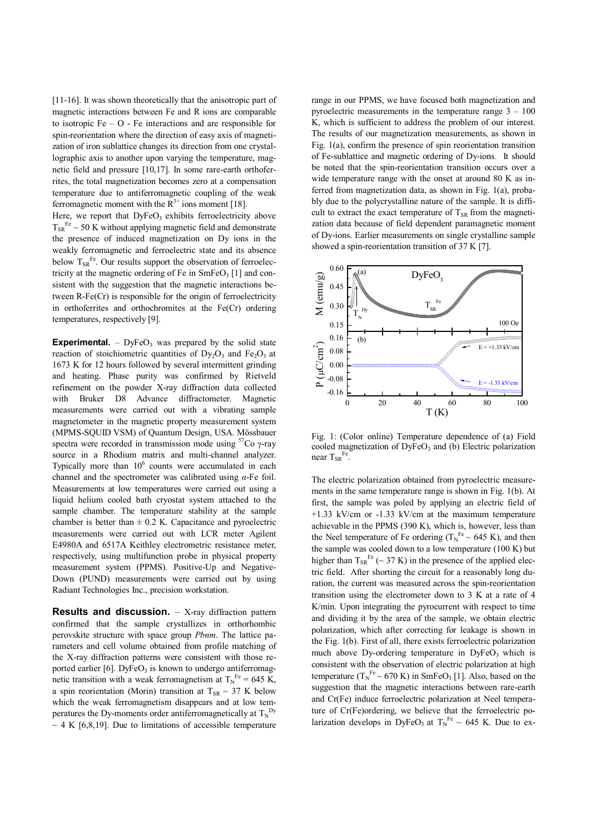[11-16]. It was shown theoretically that the anisotropic part of magnetic interactions between Fe and R ions are comparable to isotropic  $Fe - O$  - Fe interactions and are responsible for spin-reorientation where the direction of easy axis of magnetization of iron sublattice changes its direction from one crystallographic axis to another upon varying the temperature, magnetic field and pressure [10,17]. In some rare-earth orthoferrites, the total magnetization becomes zero at a compensation temperature due to antiferromagnetic coupling of the weak ferromagnetic moment with the  $R^{3+}$  ions moment [18].

Here, we report that  $DyFeO<sub>3</sub>$  exhibits ferroelectricity above  $T_{SR}$ <sup>Fe</sup>  $\sim$  50 K without applying magnetic field and demonstrate the presence of induced magnetization on Dy ions in the weakly ferromagnetic and ferroelectric state and its absence below  $T_{SR}^{Fe}$ . Our results support the observation of ferroelectricity at the magnetic ordering of Fe in  $SmFeO<sub>3</sub>$  [1] and consistent with the suggestion that the magnetic interactions between R-Fe(Cr) is responsible for the origin of ferroelectricity in orthoferrites and orthochromites at the Fe(Cr) ordering temperatures, respectively [9].

**Experimental.**  $-$  DyFeO<sub>3</sub> was prepared by the solid state reaction of stoichiometric quantities of  $Dy_2O_3$  and  $Fe<sub>2</sub>O<sub>3</sub>$  at 1673 K for 12 hours followed by several intermittent grinding and heating. Phase purity was confirmed by Rietveld refinement on the powder X-ray diffraction data collected with Bruker D8 Advance diffractometer. Magnetic measurements were carried out with a vibrating sample magnetometer in the magnetic property measurement system (MPMS-SQUID VSM) of Quantum Design, USA. Mössbauer spectra were recorded in transmission mode using  $57$ Co γ-ray source in a Rhodium matrix and multi-channel analyzer. Typically more than  $10^6$  counts were accumulated in each channel and the spectrometer was calibrated using *α*-Fe foil. Measurements at low temperatures were carried out using a liquid helium cooled bath cryostat system attached to the sample chamber. The temperature stability at the sample chamber is better than  $\pm$  0.2 K. Capacitance and pyroelectric measurements were carried out with LCR meter Agilent E4980A and 6517A Keithley electrometric resistance meter, respectively, using multifunction probe in physical property measurement system (PPMS). Positive-Up and Negative-Down (PUND) measurements were carried out by using Radiant Technologies Inc., precision workstation.

**Results and discussion.** - X-ray diffraction pattern confirmed that the sample crystallizes in orthorhombic perovskite structure with space group *Pbnm*. The lattice parameters and cell volume obtained from profile matching of the X-ray diffraction patterns were consistent with those reported earlier  $[6]$ . DyFeO<sub>3</sub> is known to undergo antiferromagnetic transition with a weak ferromagnetism at  $T_N^{\text{Fe}} = 645 \text{ K}$ , a spin reorientation (Morin) transition at  $T_{SR} \sim 37$  K below which the weak ferromagnetism disappears and at low temperatures the Dy-moments order antiferromagnetically at  $T_N^{\text{Dy}}$  $\sim$  4 K [6,8,19]. Due to limitations of accessible temperature

range in our PPMS, we have focused both magnetization and pyroelectric measurements in the temperature range  $3 - 100$ K, which is sufficient to address the problem of our interest. The results of our magnetization measurements, as shown in Fig. 1(a), confirm the presence of spin reorientation transition of Fe-sublattice and magnetic ordering of Dy-ions. It should be noted that the spin-reorientation transition occurs over a wide temperature range with the onset at around 80 K as inferred from magnetization data, as shown in Fig. 1(a), probably due to the polycrystalline nature of the sample. It is difficult to extract the exact temperature of  $T_{SR}$  from the magnetization data because of field dependent paramagnetic moment of Dy-ions. Earlier measurements on single crystalline sample showed a spin-reorientation transition of 37 K [7].



Fig. 1: (Color online) Temperature dependence of (a) Field cooled magnetization of  $DyFeO<sub>3</sub>$  and (b) Electric polarization near  $T_{SR}$ <sup>Fe</sup>.

The electric polarization obtained from pyroelectric measurements in the same temperature range is shown in Fig. 1(b). At first, the sample was poled by applying an electric field of +1.33 kV/cm or -1.33 kV/cm at the maximum temperature achievable in the PPMS (390 K), which is, however, less than the Neel temperature of Fe ordering  $(T_N^{\text{Fe}} \sim 645 \text{ K})$ , and then the sample was cooled down to a low temperature (100 K) but higher than  $T_{SR}^{Fe}$  (~ 37 K) in the presence of the applied electric field. After shorting the circuit for a reasonably long duration, the current was measured across the spin-reorientation transition using the electrometer down to 3 K at a rate of 4 K/min. Upon integrating the pyrocurrent with respect to time and dividing it by the area of the sample, we obtain electric polarization, which after correcting for leakage is shown in the Fig. 1(b). First of all, there exists ferroelectric polarization much above Dy-ordering temperature in  $DyFeO<sub>3</sub>$  which is consistent with the observation of electric polarization at high temperature  $(T_N^{\text{Fe}} \sim 670 \text{ K})$  in SmFeO<sub>3</sub> [1]. Also, based on the suggestion that the magnetic interactions between rare-earth and Cr(Fe) induce ferroelectric polarization at Neel temperature of Cr(Fe)ordering, we believe that the ferroelectric polarization develops in DyFeO<sub>3</sub> at  $T_N^{\text{Fe}} \sim 645$  K. Due to ex-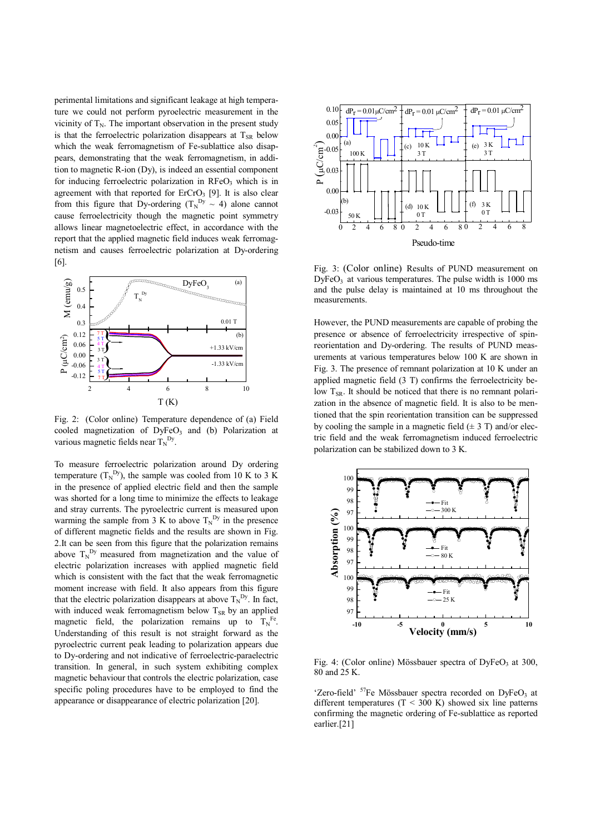perimental limitations and significant leakage at high temperature we could not perform pyroelectric measurement in the vicinity of  $T_N$ . The important observation in the present study is that the ferroelectric polarization disappears at  $T_{SR}$  below which the weak ferromagnetism of Fe-sublattice also disappears, demonstrating that the weak ferromagnetism, in addition to magnetic R-ion (Dy), is indeed an essential component for inducing ferroelectric polarization in  $RFeO<sub>3</sub>$  which is in agreement with that reported for ErCrO<sub>3</sub> [9]. It is also clear from this figure that Dy-ordering ( $T_N^{Dy} \sim 4$ ) alone cannot cause ferroelectricity though the magnetic point symmetry allows linear magnetoelectric effect, in accordance with the report that the applied magnetic field induces weak ferromagnetism and causes ferroelectric polarization at Dy-ordering [6].



Fig. 2: (Color online) Temperature dependence of (a) Field cooled magnetization of  $DyFeO<sub>3</sub>$  and (b) Polarization at various magnetic fields near  $T_N^{\text{Dy}}$ .

To measure ferroelectric polarization around Dy ordering temperature  $(T_N^{\text{Dy}})$ , the sample was cooled from 10 K to 3 K in the presence of applied electric field and then the sample was shorted for a long time to minimize the effects to leakage and stray currents. The pyroelectric current is measured upon warming the sample from 3 K to above  $T_N^{Dy}$  in the presence of different magnetic fields and the results are shown in Fig. 2.It can be seen from this figure that the polarization remains above  $T_N^{D_y}$  measured from magnetization and the value of electric polarization increases with applied magnetic field which is consistent with the fact that the weak ferromagnetic moment increase with field. It also appears from this figure that the electric polarization disappears at above  $T_N^{D_y}$ . In fact, with induced weak ferromagnetism below  $T_{SR}$  by an applied magnetic field, the polarization remains up to  $T_N^{\text{Fe}}$ . Understanding of this result is not straight forward as the pyroelectric current peak leading to polarization appears due to Dy-ordering and not indicative of ferroelectric-paraelectric transition. In general, in such system exhibiting complex magnetic behaviour that controls the electric polarization, case specific poling procedures have to be employed to find the appearance or disappearance of electric polarization [20].



Fig. 3: (Color online) Results of PUND measurement on  $DyFeO<sub>3</sub>$  at various temperatures. The pulse width is 1000 ms and the pulse delay is maintained at 10 ms throughout the measurements.

However, the PUND measurements are capable of probing the presence or absence of ferroelectricity irrespective of spinreorientation and Dy-ordering. The results of PUND measurements at various temperatures below 100 K are shown in Fig. 3. The presence of remnant polarization at 10 K under an applied magnetic field (3 T) confirms the ferroelectricity below  $T_{SR}$ . It should be noticed that there is no remnant polarization in the absence of magnetic field. It is also to be mentioned that the spin reorientation transition can be suppressed by cooling the sample in a magnetic field  $(\pm 3 \text{ T})$  and/or electric field and the weak ferromagnetism induced ferroelectric polarization can be stabilized down to 3 K.



Fig. 4: (Color online) Mössbauer spectra of DyFeO<sub>3</sub> at 300, 80 and 25 K.

'Zero-field'  $57Fe$  Mössbauer spectra recorded on DyFeO<sub>3</sub> at different temperatures  $(T < 300 \text{ K})$  showed six line patterns confirming the magnetic ordering of Fe-sublattice as reported earlier.[21]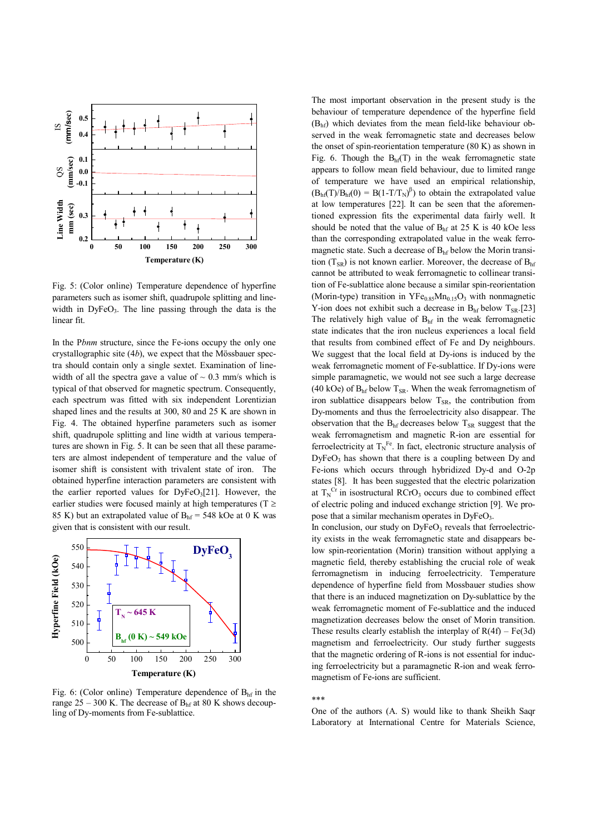

Fig. 5: (Color online) Temperature dependence of hyperfine parameters such as isomer shift, quadrupole splitting and linewidth in  $DyFeO<sub>3</sub>$ . The line passing through the data is the linear fit.

In the P*bnm* structure, since the Fe-ions occupy the only one crystallographic site (4*b*), we expect that the Mössbauer spectra should contain only a single sextet. Examination of linewidth of all the spectra gave a value of  $\sim 0.3$  mm/s which is typical of that observed for magnetic spectrum. Consequently, each spectrum was fitted with six independent Lorentizian shaped lines and the results at 300, 80 and 25 K are shown in Fig. 4. The obtained hyperfine parameters such as isomer shift, quadrupole splitting and line width at various temperatures are shown in Fig. 5. It can be seen that all these parameters are almost independent of temperature and the value of isomer shift is consistent with trivalent state of iron. The obtained hyperfine interaction parameters are consistent with the earlier reported values for  $DyFeO<sub>3</sub>[21]$ . However, the earlier studies were focused mainly at high temperatures ( $T \geq$ 85 K) but an extrapolated value of  $B<sub>hf</sub> = 548$  kOe at 0 K was given that is consistent with our result.



Fig. 6: (Color online) Temperature dependence of  $B<sub>hf</sub>$  in the range  $25 - 300$  K. The decrease of  $B<sub>hf</sub>$  at 80 K shows decoupling of Dy-moments from Fe-sublattice.

The most important observation in the present study is the behaviour of temperature dependence of the hyperfine field  $(B<sub>hf</sub>)$  which deviates from the mean field-like behaviour observed in the weak ferromagnetic state and decreases below the onset of spin-reorientation temperature (80 K) as shown in Fig. 6. Though the  $B<sub>hf</sub>(T)$  in the weak ferromagnetic state appears to follow mean field behaviour, due to limited range of temperature we have used an empirical relationship,  $(B<sub>hf</sub>(T)/B<sub>hf</sub>(0) = B(1-T/T<sub>N</sub>)<sup>\beta</sup>)$  to obtain the extrapolated value at low temperatures [22]. It can be seen that the aforementioned expression fits the experimental data fairly well. It should be noted that the value of  $B<sub>hf</sub>$  at 25 K is 40 kOe less than the corresponding extrapolated value in the weak ferromagnetic state. Such a decrease of  $B<sub>hf</sub>$  below the Morin transition  $(T_{SR})$  is not known earlier. Moreover, the decrease of  $B<sub>hf</sub>$ cannot be attributed to weak ferromagnetic to collinear transition of Fe-sublattice alone because a similar spin-reorientation (Morin-type) transition in  $YFe_{0.85}Mn_{0.15}O_3$  with nonmagnetic Y-ion does not exhibit such a decrease in  $B<sub>hf</sub>$  below  $T_{SR}$ .[23] The relatively high value of  $B<sub>hf</sub>$  in the weak ferromagnetic state indicates that the iron nucleus experiences a local field that results from combined effect of Fe and Dy neighbours. We suggest that the local field at Dy-ions is induced by the weak ferromagnetic moment of Fe-sublattice. If Dy-ions were simple paramagnetic, we would not see such a large decrease (40 kOe) of  $B<sub>hf</sub>$  below T<sub>SR</sub>. When the weak ferromagnetism of iron sublattice disappears below  $T_{SR}$ , the contribution from Dy-moments and thus the ferroelectricity also disappear. The observation that the  $B<sub>hf</sub>$  decreases below  $T<sub>SR</sub>$  suggest that the weak ferromagnetism and magnetic R-ion are essential for ferroelectricity at  $T_N^{\text{Fe}}$ . In fact, electronic structure analysis of  $DyFeO<sub>3</sub>$  has shown that there is a coupling between Dy and Fe-ions which occurs through hybridized Dy-d and O-2p states [8]. It has been suggested that the electric polarization at  $T_N^{\text{Cr}}$  in isostructural RCrO<sub>3</sub> occurs due to combined effect of electric poling and induced exchange striction [9]. We propose that a similar mechanism operates in  $DvFeO<sub>3</sub>$ .

In conclusion, our study on  $DvFeO<sub>3</sub>$  reveals that ferroelectricity exists in the weak ferromagnetic state and disappears below spin-reorientation (Morin) transition without applying a magnetic field, thereby establishing the crucial role of weak ferromagnetism in inducing ferroelectricity. Temperature dependence of hyperfine field from Mossbauer studies show that there is an induced magnetization on Dy-sublattice by the weak ferromagnetic moment of Fe-sublattice and the induced magnetization decreases below the onset of Morin transition. These results clearly establish the interplay of  $R(4f) - Fe(3d)$ magnetism and ferroelectricity. Our study further suggests that the magnetic ordering of R-ions is not essential for inducing ferroelectricity but a paramagnetic R-ion and weak ferromagnetism of Fe-ions are sufficient.

## \*\*\*

One of the authors (A. S) would like to thank Sheikh Saqr Laboratory at International Centre for Materials Science,